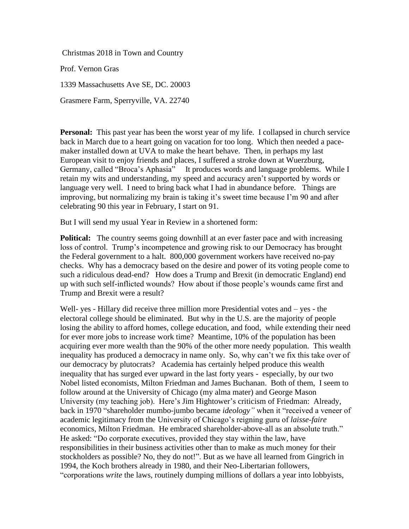Christmas 2018 in Town and Country

Prof. Vernon Gras

1339 Massachusetts Ave SE, DC. 20003

Grasmere Farm, Sperryville, VA. 22740

**Personal:** This past year has been the worst year of my life. I collapsed in church service back in March due to a heart going on vacation for too long. Which then needed a pacemaker installed down at UVA to make the heart behave. Then, in perhaps my last European visit to enjoy friends and places, I suffered a stroke down at Wuerzburg, Germany, called "Broca's Aphasia" It produces words and language problems. While I retain my wits and understanding, my speed and accuracy aren't supported by words or language very well. I need to bring back what I had in abundance before. Things are improving, but normalizing my brain is taking it's sweet time because I'm 90 and after celebrating 90 this year in February, I start on 91.

But I will send my usual Year in Review in a shortened form:

**Political:** The country seems going downhill at an ever faster pace and with increasing loss of control. Trump's incompetence and growing risk to our Democracy has brought the Federal government to a halt. 800,000 government workers have received no-pay checks. Why has a democracy based on the desire and power of its voting people come to such a ridiculous dead-end? How does a Trump and Brexit (in democratic England) end up with such self-inflicted wounds? How about if those people's wounds came first and Trump and Brexit were a result?

Well- yes - Hillary did receive three million more Presidential votes and – yes - the electoral college should be eliminated. But why in the U.S. are the majority of people losing the ability to afford homes, college education, and food, while extending their need for ever more jobs to increase work time? Meantime, 10% of the population has been acquiring ever more wealth than the 90% of the other more needy population. This wealth inequality has produced a democracy in name only. So, why can't we fix this take over of our democracy by plutocrats? Academia has certainly helped produce this wealth inequality that has surged ever upward in the last forty years - especially, by our two Nobel listed economists, Milton Friedman and James Buchanan. Both of them, I seem to follow around at the University of Chicago (my alma mater) and George Mason University (my teaching job). Here's Jim Hightower's criticism of Friedman: Already, back in 1970 "shareholder mumbo-jumbo became *ideology"* when it "received a veneer of academic legitimacy from the University of Chicago's reigning guru of *laisse-faire* economics, Milton Friedman. He embraced shareholder-above-all as an absolute truth." He asked: "Do corporate executives, provided they stay within the law, have responsibilities in their business activities other than to make as much money for their stockholders as possible? No, they do not!". But as we have all learned from Gingrich in 1994, the Koch brothers already in 1980, and their Neo-Libertarian followers, "corporations *write* the laws, routinely dumping millions of dollars a year into lobbyists,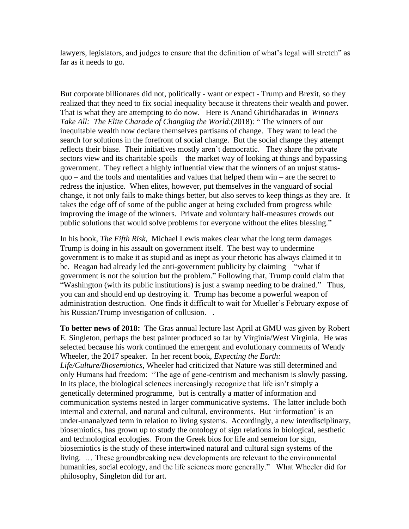lawyers, legislators, and judges to ensure that the definition of what's legal will stretch" as far as it needs to go.

But corporate billionares did not, politically - want or expect - Trump and Brexit, so they realized that they need to fix social inequality because it threatens their wealth and power. That is what they are attempting to do now. Here is Anand Ghiridharadas in *Winners Take All: The Elite Charade of Changing the World*:(2018): " The winners of our inequitable wealth now declare themselves partisans of change. They want to lead the search for solutions in the forefront of social change. But the social change they attempt reflects their biase. Their initiatives mostly aren't democratic. They share the private sectors view and its charitable spoils – the market way of looking at things and bypassing government. They reflect a highly influential view that the winners of an unjust statusquo – and the tools and mentalities and values that helped them win – are the secret to redress the injustice. When elites, however, put themselves in the vanguard of social change, it not only fails to make things better, but also serves to keep things as they are. It takes the edge off of some of the public anger at being excluded from progress while improving the image of the winners. Private and voluntary half-measures crowds out public solutions that would solve problems for everyone without the elites blessing."

In his book, *The Fifth Risk*, Michael Lewis makes clear what the long term damages Trump is doing in his assault on government itself. The best way to undermine government is to make it as stupid and as inept as your rhetoric has always claimed it to be. Reagan had already led the anti-government publicity by claiming – "what if government is not the solution but the problem." Following that, Trump could claim that "Washington (with its public institutions) is just a swamp needing to be drained." Thus, you can and should end up destroying it. Trump has become a powerful weapon of administration destruction. One finds it difficult to wait for Mueller's February expose of his Russian/Trump investigation of collusion. .

**To better news of 2018:** The Gras annual lecture last April at GMU was given by Robert E. Singleton, perhaps the best painter produced so far by Virginia/West Virginia. He was selected because his work continued the emergent and evolutionary comments of Wendy Wheeler, the 2017 speaker. In her recent book, *Expecting the Earth: Life/Culture/Biosemiotics,* Wheeler had criticized that Nature was still determined and only Humans had freedom: "The age of gene-centrism and mechanism is slowly passing. In its place, the biological sciences increasingly recognize that life isn't simply a genetically determined programme, but is centrally a matter of information and communication systems nested in larger communicative systems. The latter include both internal and external, and natural and cultural, environments. But 'information' is an under-unanalyzed term in relation to living systems. Accordingly, a new interdisciplinary, biosemiotics, has grown up to study the ontology of sign relations in biological, aesthetic and technological ecologies. From the Greek bios for life and semeion for sign, biosemiotics is the study of these intertwined natural and cultural sign systems of the living. … These groundbreaking new developments are relevant to the environmental humanities, social ecology, and the life sciences more generally." What Wheeler did for philosophy, Singleton did for art.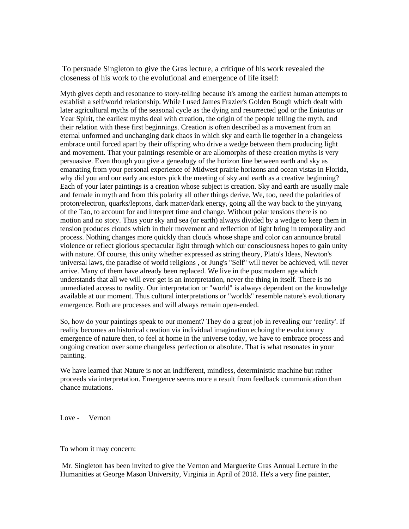To persuade Singleton to give the Gras lecture, a critique of his work revealed the closeness of his work to the evolutional and emergence of life itself:

Myth gives depth and resonance to story-telling because it's among the earliest human attempts to establish a self/world relationship. While I used James Frazier's Golden Bough which dealt with later agricultural myths of the seasonal cycle as the dying and resurrected god or the Eniautus or Year Spirit, the earliest myths deal with creation, the origin of the people telling the myth, and their relation with these first beginnings. Creation is often described as a movement from an eternal unformed and unchanging dark chaos in which sky and earth lie together in a changeless embrace until forced apart by their offspring who drive a wedge between them producing light and movement. That your paintings resemble or are allomorphs of these creation myths is very persuasive. Even though you give a genealogy of the horizon line between earth and sky as emanating from your personal experience of Midwest prairie horizons and ocean vistas in Florida, why did you and our early ancestors pick the meeting of sky and earth as a creative beginning? Each of your later paintings is a creation whose subject is creation. Sky and earth are usually male and female in myth and from this polarity all other things derive. We, too, need the polarities of proton/electron, quarks/leptons, dark matter/dark energy, going all the way back to the yin/yang of the Tao, to account for and interpret time and change. Without polar tensions there is no motion and no story. Thus your sky and sea (or earth) always divided by a wedge to keep them in tension produces clouds which in their movement and reflection of light bring in temporality and process. Nothing changes more quickly than clouds whose shape and color can announce brutal violence or reflect glorious spectacular light through which our consciousness hopes to gain unity with nature. Of course, this unity whether expressed as string theory, Plato's Ideas, Newton's universal laws, the paradise of world religions , or Jung's "Self" will never be achieved, will never arrive. Many of them have already been replaced. We live in the postmodern age which understands that all we will ever get is an interpretation, never the thing in itself. There is no unmediated access to reality. Our interpretation or "world" is always dependent on the knowledge available at our moment. Thus cultural interpretations or "worlds" resemble nature's evolutionary emergence. Both are processes and will always remain open-ended.

So, how do your paintings speak to our moment? They do a great job in revealing our 'reality'. If reality becomes an historical creation via individual imagination echoing the evolutionary emergence of nature then, to feel at home in the universe today, we have to embrace process and ongoing creation over some changeless perfection or absolute. That is what resonates in your painting.

We have learned that Nature is not an indifferent, mindless, deterministic machine but rather proceeds via interpretation. Emergence seems more a result from feedback communication than chance mutations.

Love - Vernon

To whom it may concern:

Mr. Singleton has been invited to give the Vernon and Marguerite Gras Annual Lecture in the Humanities at George Mason University, Virginia in April of 2018. He's a very fine painter,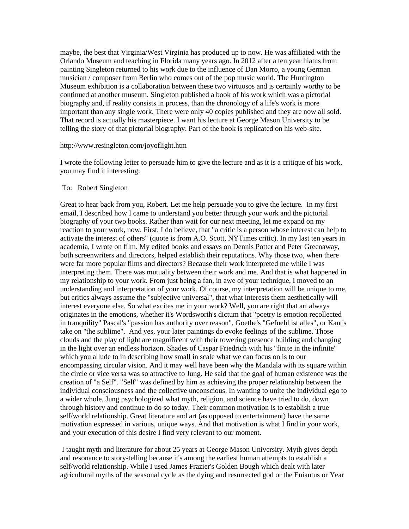maybe, the best that Virginia/West Virginia has produced up to now. He was affiliated with the Orlando Museum and teaching in Florida many years ago. In 2012 after a ten year hiatus from painting Singleton returned to his work due to the influence of Dan Morro, a young German musician / composer from Berlin who comes out of the pop music world. The Huntington Museum exhibition is a collaboration between these two virtuosos and is certainly worthy to be continued at another museum. Singleton published a book of his work which was a pictorial biography and, if reality consists in process, than the chronology of a life's work is more important than any single work. There were only 40 copies published and they are now all sold. That record is actually his masterpiece. I want his lecture at George Mason University to be telling the story of that pictorial biography. Part of the book is replicated on his web-site.

## http://www.resingleton.com/joyoflight.htm

I wrote the following letter to persuade him to give the lecture and as it is a critique of his work, you may find it interesting:

## To: Robert Singleton

Great to hear back from you, Robert. Let me help persuade you to give the lecture. In my first email, I described how I came to understand you better through your work and the pictorial biography of your two books. Rather than wait for our next meeting, let me expand on my reaction to your work, now. First, I do believe, that "a critic is a person whose interest can help to activate the interest of others" (quote is from A.O. Scott, NYTimes critic). In my last ten years in academia, I wrote on film. My edited books and essays on Dennis Potter and Peter Greenaway, both screenwriters and directors, helped establish their reputations. Why those two, when there were far more popular films and directors? Because their work interpreted me while I was interpreting them. There was mutuality between their work and me. And that is what happened in my relationship to your work. From just being a fan, in awe of your technique, I moved to an understanding and interpretation of your work. Of course, my interpretation will be unique to me, but critics always assume the "subjective universal", that what interests them aesthetically will interest everyone else. So what excites me in your work? Well, you are right that art always originates in the emotions, whether it's Wordsworth's dictum that "poetry is emotion recollected in tranquility" Pascal's "passion has authority over reason", Goethe's "Gefuehl ist alles", or Kant's take on "the sublime". And yes, your later paintings do evoke feelings of the sublime. Those clouds and the play of light are magnificent with their towering presence building and changing in the light over an endless horizon. Shades of Caspar Friedrich with his "finite in the infinite" which you allude to in describing how small in scale what we can focus on is to our encompassing circular vision. And it may well have been why the Mandala with its square within the circle or vice versa was so attractive to Jung. He said that the goal of human existence was the creation of "a Self". "Self" was defined by him as achieving the proper relationship between the individual consciousness and the collective unconscious. In wanting to unite the individual ego to a wider whole, Jung psychologized what myth, religion, and science have tried to do, down through history and continue to do so today. Their common motivation is to establish a true self/world relationship. Great literature and art (as opposed to entertainment) have the same motivation expressed in various, unique ways. And that motivation is what I find in your work, and your execution of this desire I find very relevant to our moment.

I taught myth and literature for about 25 years at George Mason University. Myth gives depth and resonance to story-telling because it's among the earliest human attempts to establish a self/world relationship. While I used James Frazier's Golden Bough which dealt with later agricultural myths of the seasonal cycle as the dying and resurrected god or the Eniautus or Year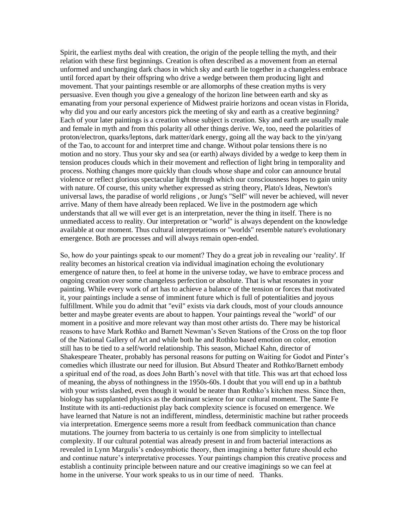Spirit, the earliest myths deal with creation, the origin of the people telling the myth, and their relation with these first beginnings. Creation is often described as a movement from an eternal unformed and unchanging dark chaos in which sky and earth lie together in a changeless embrace until forced apart by their offspring who drive a wedge between them producing light and movement. That your paintings resemble or are allomorphs of these creation myths is very persuasive. Even though you give a genealogy of the horizon line between earth and sky as emanating from your personal experience of Midwest prairie horizons and ocean vistas in Florida, why did you and our early ancestors pick the meeting of sky and earth as a creative beginning? Each of your later paintings is a creation whose subject is creation. Sky and earth are usually male and female in myth and from this polarity all other things derive. We, too, need the polarities of proton/electron, quarks/leptons, dark matter/dark energy, going all the way back to the yin/yang of the Tao, to account for and interpret time and change. Without polar tensions there is no motion and no story. Thus your sky and sea (or earth) always divided by a wedge to keep them in tension produces clouds which in their movement and reflection of light bring in temporality and process. Nothing changes more quickly than clouds whose shape and color can announce brutal violence or reflect glorious spectacular light through which our consciousness hopes to gain unity with nature. Of course, this unity whether expressed as string theory, Plato's Ideas, Newton's universal laws, the paradise of world religions , or Jung's "Self" will never be achieved, will never arrive. Many of them have already been replaced. We live in the postmodern age which understands that all we will ever get is an interpretation, never the thing in itself. There is no unmediated access to reality. Our interpretation or "world" is always dependent on the knowledge available at our moment. Thus cultural interpretations or "worlds" resemble nature's evolutionary emergence. Both are processes and will always remain open-ended.

So, how do your paintings speak to our moment? They do a great job in revealing our 'reality'. If reality becomes an historical creation via individual imagination echoing the evolutionary emergence of nature then, to feel at home in the universe today, we have to embrace process and ongoing creation over some changeless perfection or absolute. That is what resonates in your painting. While every work of art has to achieve a balance of the tension or forces that motivated it, your paintings include a sense of imminent future which is full of potentialities and joyous fulfillment. While you do admit that "evil" exists via dark clouds, most of your clouds announce better and maybe greater events are about to happen. Your paintings reveal the "world" of our moment in a positive and more relevant way than most other artists do. There may be historical reasons to have Mark Rothko and Barnett Newman's Seven Stations of the Cross on the top floor of the National Gallery of Art and while both he and Rothko based emotion on color, emotion still has to be tied to a self/world relationship. This season, Michael Kahn, director of Shakespeare Theater, probably has personal reasons for putting on Waiting for Godot and Pinter's comedies which illustrate our need for illusion. But Absurd Theater and Rothko/Barnett embody a spiritual end of the road, as does John Barth's novel with that title. This was art that echoed loss of meaning, the abyss of nothingness in the 1950s-60s. I doubt that you will end up in a bathtub with your wrists slashed, even though it would be neater than Rothko's kitchen mess. Since then, biology has supplanted physics as the dominant science for our cultural moment. The Sante Fe Institute with its anti-reductionist play back complexity science is focused on emergence. We have learned that Nature is not an indifferent, mindless, deterministic machine but rather proceeds via interpretation. Emergence seems more a result from feedback communication than chance mutations. The journey from bacteria to us certainly is one from simplicity to intellectual complexity. If our cultural potential was already present in and from bacterial interactions as revealed in Lynn Margulis's endosymbiotic theory, then imagining a better future should echo and continue nature's interpretative processes. Your paintings champion this creative process and establish a continuity principle between nature and our creative imaginings so we can feel at home in the universe. Your work speaks to us in our time of need. Thanks.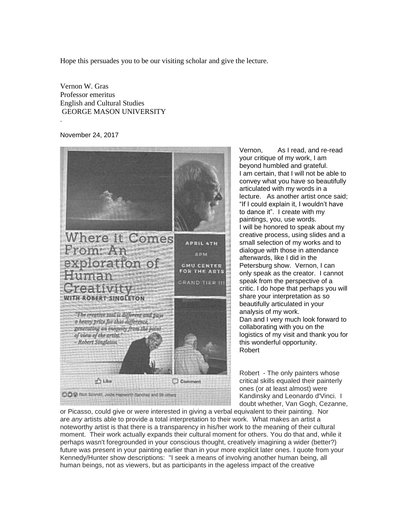Hope this persuades you to be our visiting scholar and give the lecture.

Vernon W. Gras Professor emeritus English and Cultural Studies GEORGE MASON UNIVERSITY .

November 24, 2017



Vernon, As I read, and re-read your critique of my work, I am beyond humbled and grateful. I am certain, that I will not be able to convey what you have so beautifully articulated with my words in a lecture. As another artist once said; "If I could explain it, I wouldn't have to dance it". I create with my paintings, you, use words. I will be honored to speak about my creative process, using slides and a small selection of my works and to dialogue with those in attendance afterwards, like I did in the Petersburg show. Vernon, I can only speak as the creator. I cannot speak from the perspective of a critic. I do hope that perhaps you will share your interpretation as so beautifully articulated in your analysis of my work. Dan and I very much look forward to collaborating with you on the logistics of my visit and thank you for this wonderful opportunity. Robert

Robert - The only painters whose critical skills equaled their painterly ones (or at least almost) were Kandinsky and Leonardo d'Vinci. I doubt whether, Van Gogh, Cezanne,

or Picasso, could give or were interested in giving a verbal equivalent to their painting. Nor are *any* artists able to provide a total interpretation to their work. What makes an artist a noteworthy artist is that there is a transparency in his/her work to the meaning of their cultural moment. Their work actually expands their cultural moment for others. You do that and, while it perhaps wasn't foregrounded in your conscious thought, creatively imagining a wider (better?) future was present in your painting earlier than in your more explicit later ones. I quote from your Kennedy/Hunter show descriptions: "I seek a means of involving another human being, all human beings, not as viewers, but as participants in the ageless impact of the creative